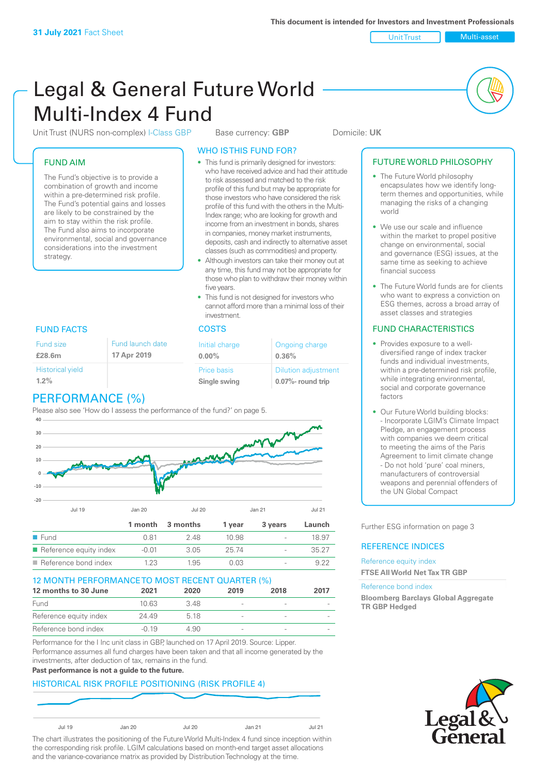Unit Trust Nulti-asset

# Legal & General Future World Multi-Index 4 Fund

Unit Trust (NURS non-complex) I-Class GBP Base currency: **GBP** Domicile: UK

#### FUND AIM

The Fund's objective is to provide a combination of growth and income within a pre-determined risk profile. The Fund's potential gains and losses are likely to be constrained by the aim to stay within the risk profile. The Fund also aims to incorporate environmental, social and governance considerations into the investment strategy.

#### WHO IS THIS FUND FOR? • This fund is primarily designed for investors:

- who have received advice and had their attitude to risk assessed and matched to the risk profile of this fund but may be appropriate for those investors who have considered the risk profile of this fund with the others in the Multi-Index range; who are looking for growth and income from an investment in bonds, shares in companies, money market instruments, deposits, cash and indirectly to alternative asset classes (such as commodities) and property.
- Although investors can take their money out at any time, this fund may not be appropriate for those who plan to withdraw their money within five years.
- This fund is not designed for investors who cannot afford more than a minimal loss of their investment.

| Fund launch date | Initial charge              | Ongoing charge                                      |
|------------------|-----------------------------|-----------------------------------------------------|
| 17 Apr 2019      | $0.00\%$                    | 0.36%                                               |
|                  | Price basis<br>Single swing | <b>Dilution adjustment</b><br>$0.07\%$ - round trip |

## FUND FACTS COSTS

Fund size **£28.6m**

| <b>Historical yield</b> |  |
|-------------------------|--|
| $1.2\%$                 |  |
|                         |  |

# PERFORMANCE (%)

Please also see 'How do I assess the performance of the fund?' on page 5.



#### 12 MONTH PERFORMANCE TO MOST RECENT QUARTER (%)

| 12 months to 30 June   | 2021    | 2020 | 2019                     | 2018           | 2017 |
|------------------------|---------|------|--------------------------|----------------|------|
| Fund                   | 10 63   | 3 48 |                          | ۰              |      |
| Reference equity index | 24 49   | 518  | $\overline{\phantom{a}}$ |                |      |
| Reference bond index   | $-0.19$ | 4.90 |                          | $\overline{a}$ |      |

Performance for the I Inc unit class in GBP, launched on 17 April 2019. Source: Lipper. Performance assumes all fund charges have been taken and that all income generated by the investments, after deduction of tax, remains in the fund.

#### **Past performance is not a guide to the future.**

#### HISTORICAL RISK PROFILE POSITIONING (RISK PROFILE 4)



The chart illustrates the positioning of the Future World Multi-Index 4 fund since inception within the corresponding risk profile. LGIM calculations based on month-end target asset allocations and the variance-covariance matrix as provided by Distribution Technology at the time.

#### FUTURE WORLD PHILOSOPHY

- The Future World philosophy encapsulates how we identify longterm themes and opportunities, while managing the risks of a changing world
- We use our scale and influence within the market to propel positive change on environmental, social and governance (ESG) issues, at the same time as seeking to achieve financial success
- The Future World funds are for clients who want to express a conviction on ESG themes, across a broad array of asset classes and strategies

#### FUND CHARACTERISTICS

- Provides exposure to a welldiversified range of index tracker funds and individual investments, within a pre-determined risk profile while integrating environmental, social and corporate governance factors
- Our Future World building blocks: - Incorporate LGIM's Climate Impact Pledge, an engagement process with companies we deem critical to meeting the aims of the Paris Agreement to limit climate change - Do not hold 'pure' coal miners, manufacturers of controversial weapons and perennial offenders of the UN Global Compact

Further ESG information on page 3

#### REFERENCE INDICES

Reference equity index **FTSE All World Net Tax TR GBP**

#### Reference bond index

**Bloomberg Barclays Global Aggregate TR GBP Hedged**

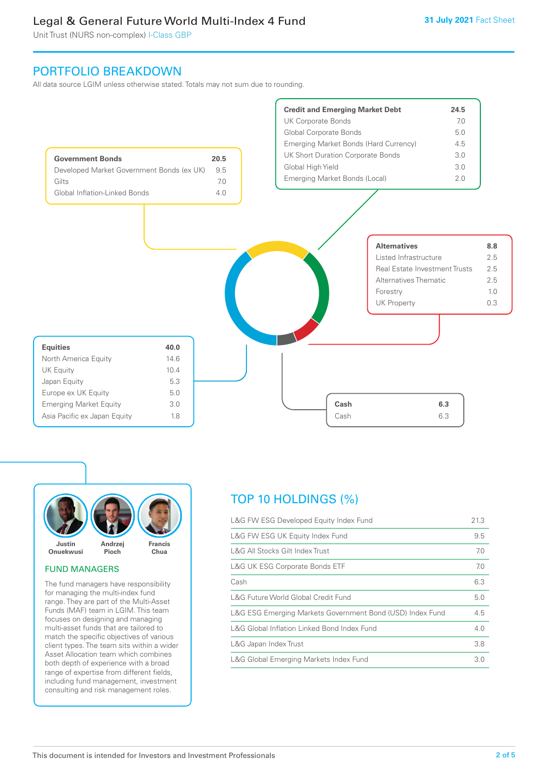Unit Trust (NURS non-complex) I-Class GBP

# PORTFOLIO BREAKDOWN

All data source LGIM unless otherwise stated. Totals may not sum due to rounding.





#### FUND MANAGERS

The fund managers have responsibility for managing the multi-index fund range. They are part of the Multi-Asset Funds (MAF) team in LGIM. This team focuses on designing and managing multi-asset funds that are tailored to match the specific objectives of various client types. The team sits within a wider Asset Allocation team which combines both depth of experience with a broad range of expertise from different fields, including fund management, investment consulting and risk management roles.

# TOP 10 HOLDINGS (%)

| L&G FW ESG Developed Equity Index Fund                    | 21.3 |
|-----------------------------------------------------------|------|
| L&G FW ESG UK Equity Index Fund                           | 9.5  |
| L&G All Stocks Gilt Index Trust                           | 7.0  |
| <b>L&amp;G UK ESG Corporate Bonds ETF</b>                 | 7.0  |
| Cash                                                      | 6.3  |
| L&G Future World Global Credit Fund                       | 5.0  |
| L&G ESG Emerging Markets Government Bond (USD) Index Fund | 4.5  |
| L&G Global Inflation Linked Bond Index Fund               | 4.0  |
| L&G Japan Index Trust                                     | 3.8  |
| L&G Global Emerging Markets Index Fund                    | 3.0  |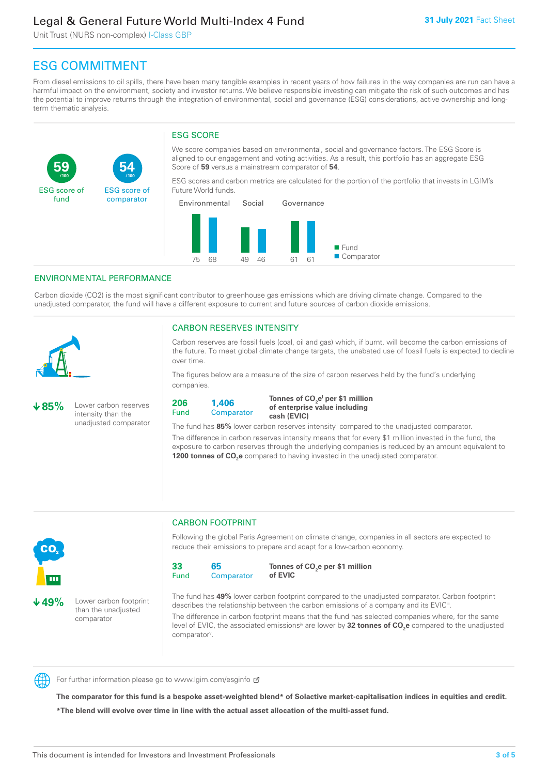Unit Trust (NURS non-complex) I-Class GBP

**54**

ESG score of comparator

# ESG COMMITMENT

From diesel emissions to oil spills, there have been many tangible examples in recent years of how failures in the way companies are run can have a harmful impact on the environment, society and investor returns. We believe responsible investing can mitigate the risk of such outcomes and has the potential to improve returns through the integration of environmental, social and governance (ESG) considerations, active ownership and longterm thematic analysis.

### ESG SCORE

We score companies based on environmental, social and governance factors. The ESG Score is aligned to our engagement and voting activities. As a result, this portfolio has an aggregate ESG Score of **59** versus a mainstream comparator of **54**.

ESG scores and carbon metrics are calculated for the portion of the portfolio that invests in LGIM's Future World funds.



#### ENVIRONMENTAL PERFORMANCE

**/100 /100**

Carbon dioxide (CO2) is the most significant contributor to greenhouse gas emissions which are driving climate change. Compared to the unadjusted comparator, the fund will have a different exposure to current and future sources of carbon dioxide emissions.



**59**

ESG score of fund

#### CARBON RESERVES INTENSITY

Carbon reserves are fossil fuels (coal, oil and gas) which, if burnt, will become the carbon emissions of the future. To meet global climate change targets, the unabated use of fossil fuels is expected to decline over time.

The figures below are a measure of the size of carbon reserves held by the fund's underlying companies.

**85%** Lower carbon reserves intensity than the unadjusted comparator



Tonnes of CO<sub>2</sub>e<sup>i</sup> per \$1 million **of enterprise value including cash (EVIC)**

The fund has 85% lower carbon reserves intensity<sup>ii</sup> compared to the unadjusted comparator.

The difference in carbon reserves intensity means that for every \$1 million invested in the fund, the exposure to carbon reserves through the underlying companies is reduced by an amount equivalent to **1200 tonnes of CO<sub>2</sub>e** compared to having invested in the unadjusted comparator.



**49%** Lower carbon footprint than the unadjusted comparator

#### CARBON FOOTPRINT

Following the global Paris Agreement on climate change, companies in all sectors are expected to reduce their emissions to prepare and adapt for a low-carbon economy.



**Tonnes of CO2 e per \$1 million of EVIC**

The fund has **49%** lower carbon footprint compared to the unadjusted comparator. Carbon footprint describes the relationship between the carbon emissions of a company and its EVIC<sup>ii</sup>.

The difference in carbon footprint means that the fund has selected companies where, for the same level of EVIC, the associated emissions<sup>iv</sup> are lower by **32 tonnes of CO<sub>2</sub>e** compared to the unadjusted comparator<sup>v</sup>.



For further information please go to www.lgim.com/esginfo Ø

**The comparator for this fund is a bespoke asset-weighted blend\* of Solactive market-capitalisation indices in equities and credit. \*The blend will evolve over time in line with the actual asset allocation of the multi-asset fund.**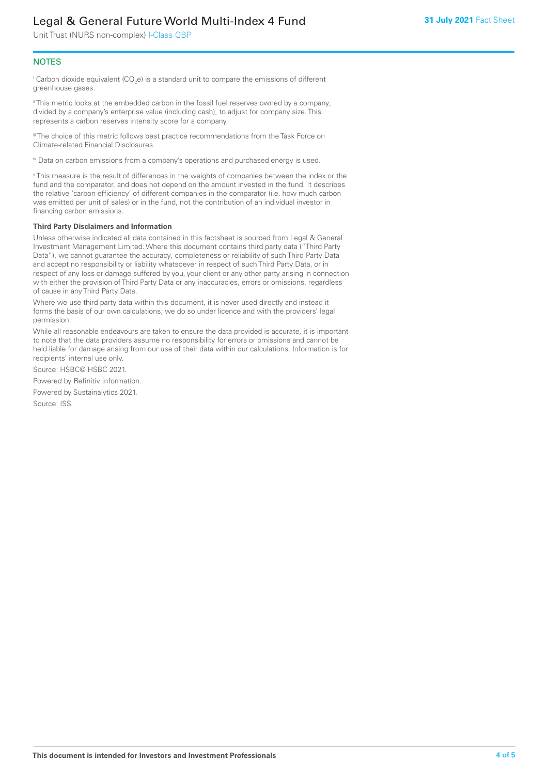Unit Trust (NURS non-complex) I-Class GBP

#### **NOTES**

 $^\mathrm{i}$  Carbon dioxide equivalent (CO<sub>2</sub>e) is a standard unit to compare the emissions of different greenhouse gases.

ii This metric looks at the embedded carbon in the fossil fuel reserves owned by a company, divided by a company's enterprise value (including cash), to adjust for company size. This represents a carbon reserves intensity score for a company.

"The choice of this metric follows best practice recommendations from the Task Force on Climate-related Financial Disclosures.

iv Data on carbon emissions from a company's operations and purchased energy is used.

v This measure is the result of differences in the weights of companies between the index or the fund and the comparator, and does not depend on the amount invested in the fund. It describes the relative 'carbon efficiency' of different companies in the comparator (i.e. how much carbon was emitted per unit of sales) or in the fund, not the contribution of an individual investor in financing carbon emissions.

#### **Third Party Disclaimers and Information**

Unless otherwise indicated all data contained in this factsheet is sourced from Legal & General Investment Management Limited. Where this document contains third party data ("Third Party Data"), we cannot guarantee the accuracy, completeness or reliability of such Third Party Data and accept no responsibility or liability whatsoever in respect of such Third Party Data, or in respect of any loss or damage suffered by you, your client or any other party arising in connection with either the provision of Third Party Data or any inaccuracies, errors or omissions, regardless of cause in any Third Party Data.

Where we use third party data within this document, it is never used directly and instead it forms the basis of our own calculations; we do so under licence and with the providers' legal permission.

While all reasonable endeavours are taken to ensure the data provided is accurate, it is important to note that the data providers assume no responsibility for errors or omissions and cannot be held liable for damage arising from our use of their data within our calculations. Information is for recipients' internal use only.

Source: HSBC© HSBC 2021.

Powered by Refinitiv Information.

Powered by Sustainalytics 2021.

Source: ISS.